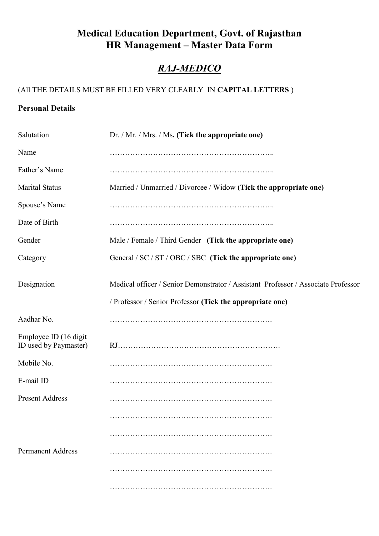### **Medical Education Department, Govt. of Rajasthan HR Management – Master Data Form**

## *RAJ-MEDICO*

### (All THE DETAILS MUST BE FILLED VERY CLEARLY IN **CAPITAL LETTERS** )

### **Personal Details**

| Salutation                                      | Dr. / Mr. / Mrs. / Ms. (Tick the appropriate one)                                 |
|-------------------------------------------------|-----------------------------------------------------------------------------------|
| Name                                            |                                                                                   |
| Father's Name                                   |                                                                                   |
| <b>Marital Status</b>                           | Married / Unmarried / Divorcee / Widow (Tick the appropriate one)                 |
| Spouse's Name                                   |                                                                                   |
| Date of Birth                                   |                                                                                   |
| Gender                                          | Male / Female / Third Gender (Tick the appropriate one)                           |
| Category                                        | General / SC / ST / OBC / SBC (Tick the appropriate one)                          |
| Designation                                     | Medical officer / Senior Demonstrator / Assistant Professor / Associate Professor |
|                                                 | / Professor / Senior Professor (Tick the appropriate one)                         |
| Aadhar No.                                      |                                                                                   |
| Employee ID (16 digit)<br>ID used by Paymaster) |                                                                                   |
| Mobile No.                                      |                                                                                   |
| E-mail ID                                       |                                                                                   |
| <b>Present Address</b>                          |                                                                                   |
|                                                 |                                                                                   |
|                                                 |                                                                                   |
| <b>Permanent Address</b>                        |                                                                                   |
|                                                 |                                                                                   |
|                                                 |                                                                                   |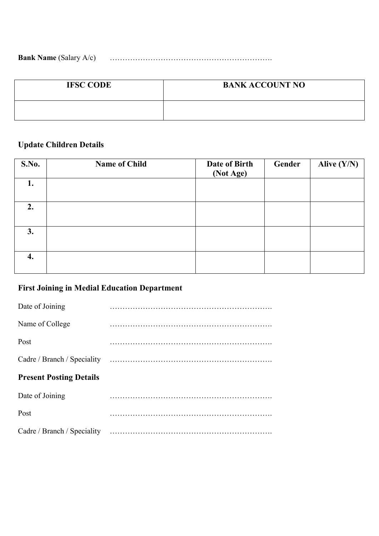**Bank Name** (Salary A/c) ……………………………………………………….

| <b>IFSC CODE</b> | <b>BANK ACCOUNT NO</b> |
|------------------|------------------------|
|                  |                        |

### **Update Children Details**

| S.No. | <b>Name of Child</b> | Date of Birth<br>(Not Age) | Gender | Alive $(Y/N)$ |
|-------|----------------------|----------------------------|--------|---------------|
| 1.    |                      |                            |        |               |
| 2.    |                      |                            |        |               |
| 3.    |                      |                            |        |               |
| 4.    |                      |                            |        |               |

# **First Joining in Medial Education Department**

| Date of Joining                |  |
|--------------------------------|--|
| Name of College                |  |
| Post                           |  |
|                                |  |
|                                |  |
| <b>Present Posting Details</b> |  |
| Date of Joining                |  |
| Post                           |  |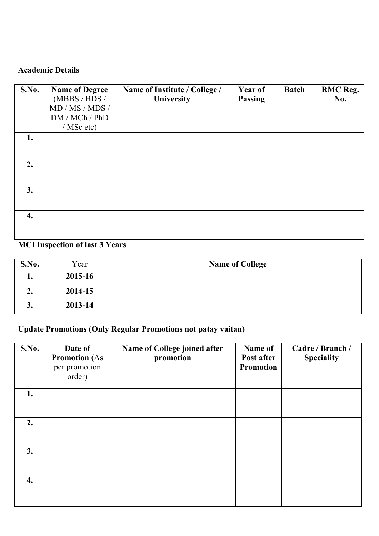### **Academic Details**

| <b>S.No.</b> | <b>Name of Degree</b><br>(MBBS / BDS /<br>MD / MS / MDS /<br>DM / MCh / PhD | Name of Institute / College /<br>University | <b>Year of</b><br><b>Passing</b> | <b>Batch</b> | <b>RMC</b> Reg.<br><b>No.</b> |
|--------------|-----------------------------------------------------------------------------|---------------------------------------------|----------------------------------|--------------|-------------------------------|
| 1.           | $/$ MSc etc)                                                                |                                             |                                  |              |                               |
|              |                                                                             |                                             |                                  |              |                               |
| 2.           |                                                                             |                                             |                                  |              |                               |
| 3.           |                                                                             |                                             |                                  |              |                               |
| 4.           |                                                                             |                                             |                                  |              |                               |

### **MCI Inspection of last 3 Years**

| S.No. | Year    | <b>Name of College</b> |
|-------|---------|------------------------|
| ı.    | 2015-16 |                        |
| –⊷    | 2014-15 |                        |
| ◡.    | 2013-14 |                        |

### **Update Promotions (Only Regular Promotions not patay vaitan)**

| S.No. | Date of<br><b>Promotion</b> (As<br>per promotion<br>order) | Name of College joined after<br>promotion | Name of<br>Post after<br><b>Promotion</b> | Cadre / Branch /<br><b>Speciality</b> |
|-------|------------------------------------------------------------|-------------------------------------------|-------------------------------------------|---------------------------------------|
| 1.    |                                                            |                                           |                                           |                                       |
| 2.    |                                                            |                                           |                                           |                                       |
| 3.    |                                                            |                                           |                                           |                                       |
| 4.    |                                                            |                                           |                                           |                                       |